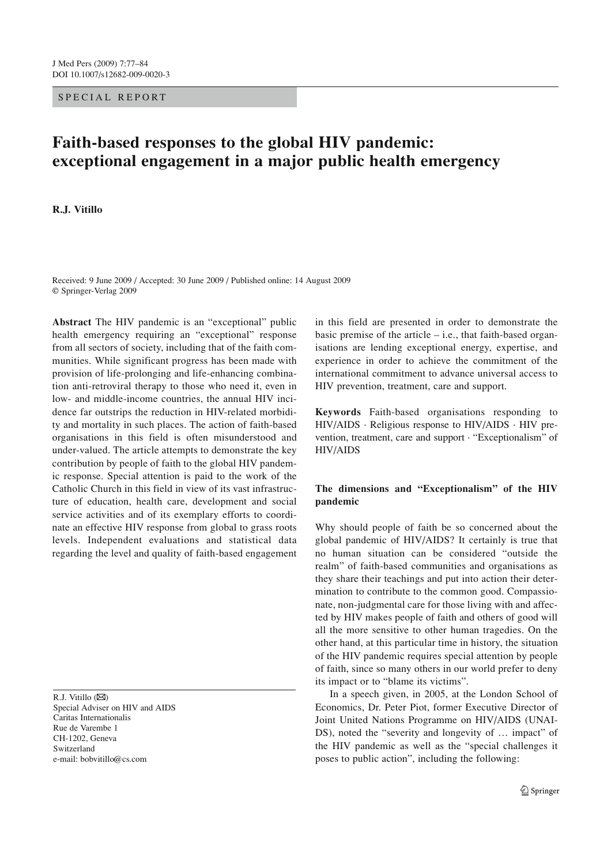SPECIAL REPORT

# **Faith-based responses to the global HIV pandemic: exceptional engagement in a major public health emergency**

**R.J. Vitillo**

Received: 9 June 2009 / Accepted: 30 June 2009 / Published online: 14 August 2009 © Springer-Verlag 2009

**Abstract** The HIV pandemic is an "exceptional" public health emergency requiring an "exceptional" response from all sectors of society, including that of the faith communities. While significant progress has been made with provision of life-prolonging and life-enhancing combination anti-retroviral therapy to those who need it, even in low- and middle-income countries, the annual HIV incidence far outstrips the reduction in HIV-related morbidity and mortality in such places. The action of faith-based organisations in this field is often misunderstood and under-valued. The article attempts to demonstrate the key contribution by people of faith to the global HIV pandemic response. Special attention is paid to the work of the Catholic Church in this field in view of its vast infrastructure of education, health care, development and social service activities and of its exemplary efforts to coordinate an effective HIV response from global to grass roots levels. Independent evaluations and statistical data regarding the level and quality of faith-based engagement

R.J. Vitillo  $(\boxtimes)$ Special Adviser on HIV and AIDS Caritas Internationalis Rue de Varembe 1 CH-1202, Geneva Switzerland e-mail: bobvitillo@cs.com

in this field are presented in order to demonstrate the basic premise of the article – i.e., that faith-based organisations are lending exceptional energy, expertise, and experience in order to achieve the commitment of the international commitment to advance universal access to HIV prevention, treatment, care and support.

**Keywords** Faith-based organisations responding to HIV/AIDS · Religious response to HIV/AIDS · HIV prevention, treatment, care and support · "Exceptionalism" of HIV/AIDS

# **The dimensions and "Exceptionalism" of the HIV pandemic**

Why should people of faith be so concerned about the global pandemic of HIV/AIDS? It certainly is true that no human situation can be considered "outside the realm" of faith-based communities and organisations as they share their teachings and put into action their determination to contribute to the common good. Compassionate, non-judgmental care for those living with and affec ted by HIV makes people of faith and others of good will all the more sensitive to other human tragedies. On the other hand, at this particular time in history, the situation of the HIV pandemic requires special attention by people of faith, since so many others in our world prefer to deny its impact or to "blame its victims".

In a speech given, in 2005, at the London School of Economics, Dr. Peter Piot, former Executive Director of Joint United Nations Programme on HIV/AIDS (UNAI-DS), noted the "severity and longevity of … impact" of the HIV pandemic as well as the "special challenges it poses to public action", including the following: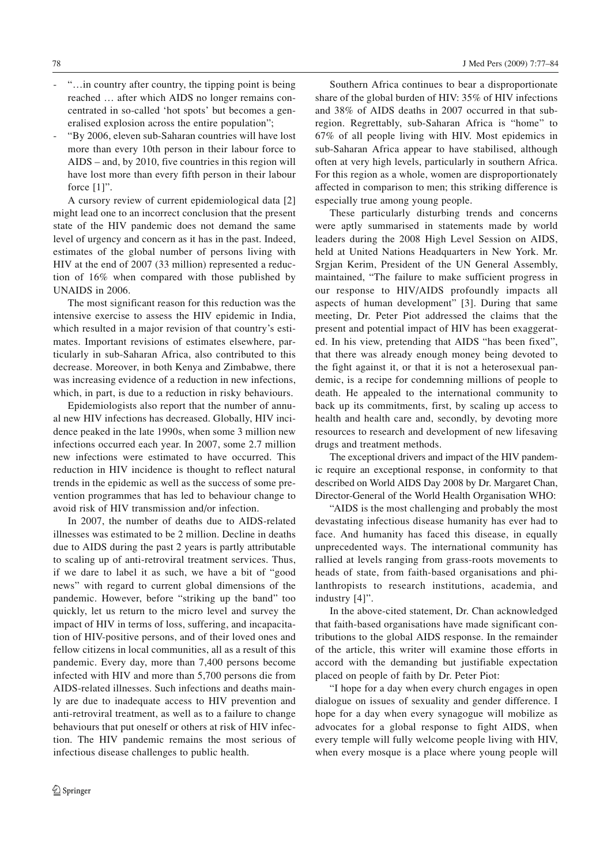- "... in country after country, the tipping point is being reached … after which AIDS no longer remains concentrated in so-called 'hot spots' but becomes a generalised explosion across the entire population";
- "By 2006, eleven sub-Saharan countries will have lost more than every 10th person in their labour force to AIDS – and, by 2010, five countries in this region will have lost more than every fifth person in their labour force [1]".

A cursory review of current epidemiological data [2] might lead one to an incorrect conclusion that the present state of the HIV pandemic does not demand the same level of urgency and concern as it has in the past. Indeed, estimates of the global number of persons living with HIV at the end of 2007 (33 million) represented a reduction of 16% when compared with those published by UNAIDS in 2006.

The most significant reason for this reduction was the intensive exercise to assess the HIV epidemic in India, which resulted in a major revision of that country's estimates. Important revisions of estimates elsewhere, particularly in sub-Saharan Africa, also contributed to this decrease. Moreover, in both Kenya and Zimbabwe, there was increasing evidence of a reduction in new infections, which, in part, is due to a reduction in risky behaviours.

Epidemiologists also report that the number of annual new HIV infections has decreased. Globally, HIV incidence peaked in the late 1990s, when some 3 million new infections occurred each year. In 2007, some 2.7 million new infections were estimated to have occurred. This reduction in HIV incidence is thought to reflect natural trends in the epidemic as well as the success of some prevention programmes that has led to behaviour change to avoid risk of HIV transmission and/or infection.

In 2007, the number of deaths due to AIDS-related illnesses was estimated to be 2 million. Decline in deaths due to AIDS during the past 2 years is partly attributable to scaling up of anti-retroviral treatment services. Thus, if we dare to label it as such, we have a bit of "good news" with regard to current global dimensions of the pandemic. However, before "striking up the band" too quickly, let us return to the micro level and survey the impact of HIV in terms of loss, suffering, and incapacitation of HIV-positive persons, and of their loved ones and fellow citizens in local communities, all as a result of this pandemic. Every day, more than 7,400 persons become infected with HIV and more than 5,700 persons die from AIDS-related illnesses. Such infections and deaths mainly are due to inadequate access to HIV prevention and anti-retroviral treatment, as well as to a failure to change behaviours that put oneself or others at risk of HIV infection. The HIV pandemic remains the most serious of infectious disease challenges to public health.

Southern Africa continues to bear a disproportionate share of the global burden of HIV: 35% of HIV infections and 38% of AIDS deaths in 2007 occurred in that subregion. Regrettably, sub-Saharan Africa is "home" to 67% of all people living with HIV. Most epidemics in sub-Saharan Africa appear to have stabilised, although often at very high levels, particularly in southern Africa. For this region as a whole, women are disproportionately affected in comparison to men; this striking difference is especially true among young people.

These particularly disturbing trends and concerns were aptly summarised in statements made by world leaders during the 2008 High Level Session on AIDS, held at United Nations Headquarters in New York. Mr. Srgjan Kerim, President of the UN General Assembly, maintained, "The failure to make sufficient progress in our response to HIV/AIDS profoundly impacts all aspects of human development" [3]. During that same meeting, Dr. Peter Piot addressed the claims that the present and potential impact of HIV has been exaggerated. In his view, pretending that AIDS "has been fixed", that there was already enough money being devoted to the fight against it, or that it is not a heterosexual pandemic, is a recipe for condemning millions of people to death. He appealed to the international community to back up its commitments, first, by scaling up access to health and health care and, secondly, by devoting more resources to research and development of new lifesaving drugs and treatment methods.

The exceptional drivers and impact of the HIV pandemic require an exceptional response, in conformity to that described on World AIDS Day 2008 by Dr. Margaret Chan, Director-General of the World Health Organisation WHO:

"AIDS is the most challenging and probably the most devastating infectious disease humanity has ever had to face. And humanity has faced this disease, in equally unprecedented ways. The international community has rallied at levels ranging from grass-roots movements to heads of state, from faith-based organisations and philanthropists to research institutions, academia, and industry [4]".

In the above-cited statement, Dr. Chan acknowledged that faith-based organisations have made significant contributions to the global AIDS response. In the remainder of the article, this writer will examine those efforts in accord with the demanding but justifiable expectation placed on people of faith by Dr. Peter Piot:

"I hope for a day when every church engages in open dialogue on issues of sexuality and gender difference. I hope for a day when every synagogue will mobilize as advocates for a global response to fight AIDS, when every temple will fully welcome people living with HIV, when every mosque is a place where young people will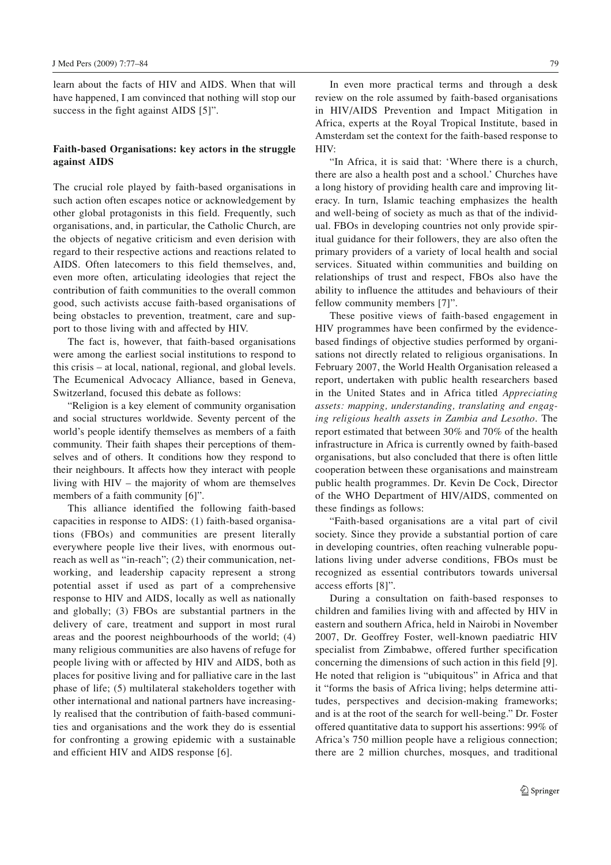learn about the facts of HIV and AIDS. When that will have happened, I am convinced that nothing will stop our success in the fight against AIDS [5]".

#### **Faith-based Organisations: key actors in the struggle against AIDS**

The crucial role played by faith-based organisations in such action often escapes notice or acknowledgement by other global protagonists in this field. Frequently, such organisations, and, in particular, the Catholic Church, are the objects of negative criticism and even derision with regard to their respective actions and reactions related to AIDS. Often latecomers to this field themselves, and, even more often, articulating ideologies that reject the contribution of faith communities to the overall common good, such activists accuse faith-based organisations of being obstacles to prevention, treatment, care and support to those living with and affected by HIV.

The fact is, however, that faith-based organisations were among the earliest social institutions to respond to this crisis – at local, national, regional, and global levels. The Ecumenical Advocacy Alliance, based in Geneva, Switzerland, focused this debate as follows:

"Religion is a key element of community organisation and social structures worldwide. Seventy percent of the world's people identify themselves as members of a faith community. Their faith shapes their perceptions of themselves and of others. It conditions how they respond to their neighbours. It affects how they interact with people living with HIV – the majority of whom are themselves members of a faith community [6]".

This alliance identified the following faith-based capacities in response to AIDS: (1) faith-based organisations (FBOs) and communities are present literally everywhere people live their lives, with enormous outreach as well as "in-reach"; (2) their communication, networking, and leadership capacity represent a strong potential asset if used as part of a comprehensive response to HIV and AIDS, locally as well as nationally and globally; (3) FBOs are substantial partners in the delivery of care, treatment and support in most rural areas and the poorest neighbourhoods of the world; (4) many religious communities are also havens of refuge for people living with or affected by HIV and AIDS, both as places for positive living and for palliative care in the last phase of life; (5) multilateral stakeholders together with other international and national partners have increasingly realised that the contribution of faith-based communities and organisations and the work they do is essential for confronting a growing epidemic with a sustainable and efficient HIV and AIDS response [6].

In even more practical terms and through a desk review on the role assumed by faith-based organisations in HIV/AIDS Prevention and Impact Mitigation in Africa, experts at the Royal Tropical Institute, based in Amsterdam set the context for the faith-based response to HIV:

"In Africa, it is said that: 'Where there is a church, there are also a health post and a school.' Churches have a long history of providing health care and improving literacy. In turn, Islamic teaching emphasizes the health and well-being of society as much as that of the individual. FBOs in developing countries not only provide spiritual guidance for their followers, they are also often the primary providers of a variety of local health and social services. Situated within communities and building on relationships of trust and respect, FBOs also have the ability to influence the attitudes and behaviours of their fellow community members [7]".

These positive views of faith-based engagement in HIV programmes have been confirmed by the evidencebased findings of objective studies performed by organisations not directly related to religious organisations. In February 2007, the World Health Organisation released a report, undertaken with public health researchers based in the United States and in Africa titled *Appreciating assets: mapping, understanding, translating and engaging religious health assets in Zambia and Lesotho*. The report estimated that between 30% and 70% of the health infrastructure in Africa is currently owned by faith-based organisations, but also concluded that there is often little cooperation between these organisations and mainstream public health programmes. Dr. Kevin De Cock, Director of the WHO Department of HIV/AIDS, commented on these findings as follows:

"Faith-based organisations are a vital part of civil society. Since they provide a substantial portion of care in developing countries, often reaching vulnerable populations living under adverse conditions, FBOs must be recognized as essential contributors towards universal access efforts [8]".

During a consultation on faith-based responses to children and families living with and affected by HIV in eastern and southern Africa, held in Nairobi in November 2007, Dr. Geoffrey Foster, well-known paediatric HIV specialist from Zimbabwe, offered further specification concerning the dimensions of such action in this field [9]. He noted that religion is "ubiquitous" in Africa and that it "forms the basis of Africa living; helps determine attitudes, perspectives and decision-making frameworks; and is at the root of the search for well-being." Dr. Foster offered quantitative data to support his assertions: 99% of Africa's 750 million people have a religious connection; there are 2 million churches, mosques, and traditional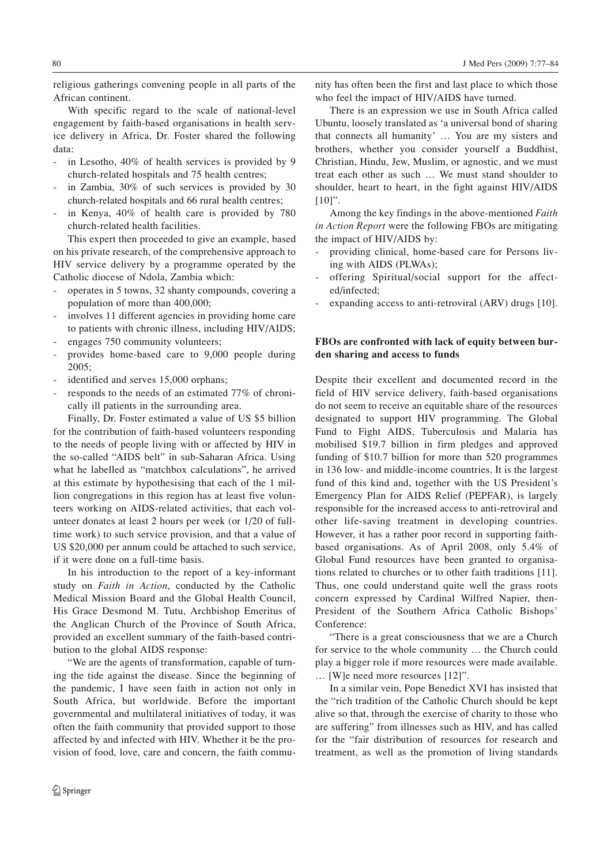religious gatherings convening people in all parts of the African continent.

With specific regard to the scale of national-level engagement by faith-based organisations in health service delivery in Africa, Dr. Foster shared the following data:

- in Lesotho,  $40\%$  of health services is provided by 9 church-related hospitals and 75 health centres;
- in Zambia,  $30\%$  of such services is provided by  $30$ church-related hospitals and 66 rural health centres;
- in Kenya,  $40\%$  of health care is provided by  $780$ church-related health facilities.

This expert then proceeded to give an example, based on his private research, of the comprehensive approach to HIV service delivery by a programme operated by the Catholic diocese of Ndola, Zambia which:

- operates in 5 towns, 32 shanty compounds, covering a population of more than 400,000;
- involves 11 different agencies in providing home care to patients with chronic illness, including HIV/AIDS;
- engages 750 community volunteers;
- provides home-based care to 9,000 people during 2005;
- identified and serves 15,000 orphans;
- responds to the needs of an estimated 77% of chronically ill patients in the surrounding area.

Finally, Dr. Foster estimated a value of US \$5 billion for the contribution of faith-based volunteers responding to the needs of people living with or affected by HIV in the so-called "AIDS belt" in sub-Saharan Africa. Using what he labelled as "matchbox calculations", he arrived at this estimate by hypothesising that each of the 1 million congregations in this region has at least five volunteers working on AIDS-related activities, that each volunteer donates at least 2 hours per week (or 1/20 of fulltime work) to such service provision, and that a value of US \$20,000 per annum could be attached to such service, if it were done on a full-time basis.

In his introduction to the report of a key-informant study on *Faith in Action*, conducted by the Catholic Medical Mission Board and the Global Health Council, His Grace Desmond M. Tutu, Archbishop Emeritus of the Anglican Church of the Province of South Africa, provided an excellent summary of the faith-based contribution to the global AIDS response:

"We are the agents of transformation, capable of turning the tide against the disease. Since the beginning of the pandemic, I have seen faith in action not only in South Africa, but worldwide. Before the important governmental and multilateral initiatives of today, it was often the faith community that provided support to those affected by and infected with HIV. Whether it be the provision of food, love, care and concern, the faith community has often been the first and last place to which those who feel the impact of HIV/AIDS have turned.

There is an expression we use in South Africa called Ubuntu, loosely translated as 'a universal bond of sharing that connects all humanity' … You are my sisters and brothers, whether you consider yourself a Buddhist, Christian, Hindu, Jew, Muslim, or agnostic, and we must treat each other as such … We must stand shoulder to shoulder, heart to heart, in the fight against HIV/AIDS  $[10]$ ".

Among the key findings in the above-mentioned *Faith in Action Report* were the following FBOs are mitigating the impact of HIV/AIDS by:

- providing clinical, home-based care for Persons living with AIDS (PLWAs);
- offering Spiritual/social support for the affected/infected;
- expanding access to anti-retroviral (ARV) drugs [10].

#### **FBOs are confronted with lack of equity between burden sharing and access to funds**

Despite their excellent and documented record in the field of HIV service delivery, faith-based organisations do not seem to receive an equitable share of the resources designated to support HIV programming. The Global Fund to Fight AIDS, Tuberculosis and Malaria has mobilised \$19.7 billion in firm pledges and approved funding of \$10.7 billion for more than 520 programmes in 136 low- and middle-income countries. It is the largest fund of this kind and, together with the US President's Emergency Plan for AIDS Relief (PEPFAR), is largely responsible for the increased access to anti-retroviral and other life-saving treatment in developing countries. However, it has a rather poor record in supporting faithbased organisations. As of April 2008, only 5.4% of Global Fund resources have been granted to organisations related to churches or to other faith traditions [11]. Thus, one could understand quite well the grass roots concern expressed by Cardinal Wilfred Napier, then-President of the Southern Africa Catholic Bishops' Conference:

"There is a great consciousness that we are a Church for service to the whole community … the Church could play a bigger role if more resources were made available. … [W]e need more resources [12]".

In a similar vein, Pope Benedict XVI has insisted that the "rich tradition of the Catholic Church should be kept alive so that, through the exercise of charity to those who are suffering" from illnesses such as HIV, and has called for the "fair distribution of resources for research and treatment, as well as the promotion of living standards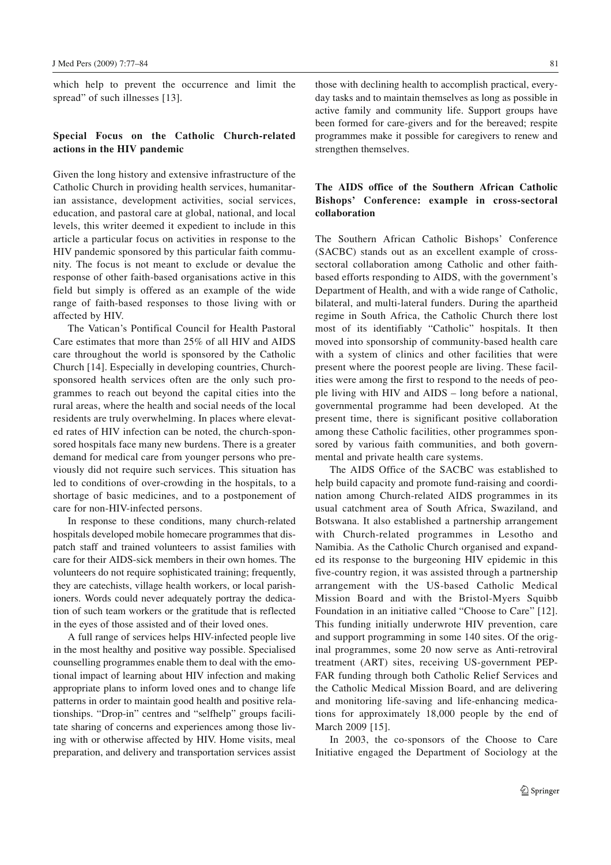which help to prevent the occurrence and limit the spread" of such illnesses [13].

### **Special Focus on the Catholic Church-related actions in the HIV pandemic**

Given the long history and extensive infrastructure of the Catholic Church in providing health services, humanitarian assistance, development activities, social services, education, and pastoral care at global, national, and local levels, this writer deemed it expedient to include in this article a particular focus on activities in response to the HIV pandemic sponsored by this particular faith community. The focus is not meant to exclude or devalue the response of other faith-based organisations active in this field but simply is offered as an example of the wide range of faith-based responses to those living with or affected by HIV.

The Vatican's Pontifical Council for Health Pastoral Care estimates that more than 25% of all HIV and AIDS care throughout the world is sponsored by the Catholic Church [14]. Especially in developing countries, Churchsponsored health services often are the only such programmes to reach out beyond the capital cities into the rural areas, where the health and social needs of the local residents are truly overwhelming. In places where elevated rates of HIV infection can be noted, the church-sponsored hospitals face many new burdens. There is a greater demand for medical care from younger persons who previously did not require such services. This situation has led to conditions of over-crowding in the hospitals, to a shortage of basic medicines, and to a postponement of care for non-HIV-infected persons.

In response to these conditions, many church-related hospitals developed mobile homecare programmes that dispatch staff and trained volunteers to assist families with care for their AIDS-sick members in their own homes. The volunteers do not require sophisticated training; frequently, they are catechists, village health workers, or local parishioners. Words could never adequately portray the dedication of such team workers or the gratitude that is reflected in the eyes of those assisted and of their loved ones.

A full range of services helps HIV-infected people live in the most healthy and positive way possible. Specialised counselling programmes enable them to deal with the emotional impact of learning about HIV infection and making appropriate plans to inform loved ones and to change life patterns in order to maintain good health and positive relationships. "Drop-in" centres and "selfhelp" groups facilitate sharing of concerns and experiences among those living with or otherwise affected by HIV. Home visits, meal preparation, and delivery and transportation services assist those with declining health to accomplish practical, everyday tasks and to maintain themselves as long as possible in active family and community life. Support groups have been formed for care-givers and for the bereaved; respite

## **The AIDS office of the Southern African Catholic Bishops' Conference: example in cross-sectoral collaboration**

programmes make it possible for caregivers to renew and

strengthen themselves.

The Southern African Catholic Bishops' Conference (SACBC) stands out as an excellent example of crosssectoral collaboration among Catholic and other faithbased efforts responding to AIDS, with the government's Department of Health, and with a wide range of Catholic, bilateral, and multi-lateral funders. During the apartheid regime in South Africa, the Catholic Church there lost most of its identifiably "Catholic" hospitals. It then moved into sponsorship of community-based health care with a system of clinics and other facilities that were present where the poorest people are living. These facilities were among the first to respond to the needs of people living with HIV and AIDS – long before a national, governmental programme had been developed. At the present time, there is significant positive collaboration among these Catholic facilities, other programmes sponsored by various faith communities, and both governmental and private health care systems.

The AIDS Office of the SACBC was established to help build capacity and promote fund-raising and coordination among Church-related AIDS programmes in its usual catchment area of South Africa, Swaziland, and Botswana. It also established a partnership arrangement with Church-related programmes in Lesotho and Namibia. As the Catholic Church organised and expanded its response to the burgeoning HIV epidemic in this five-country region, it was assisted through a partnership arrangement with the US-based Catholic Medical Mission Board and with the Bristol-Myers Squibb Foundation in an initiative called "Choose to Care" [12]. This funding initially underwrote HIV prevention, care and support programming in some 140 sites. Of the original programmes, some 20 now serve as Anti-retroviral treatment (ART) sites, receiving US-government PEP-FAR funding through both Catholic Relief Services and the Catholic Medical Mission Board, and are delivering and monitoring life-saving and life-enhancing medications for approximately 18,000 people by the end of March 2009 [15].

In 2003, the co-sponsors of the Choose to Care Initiative engaged the Department of Sociology at the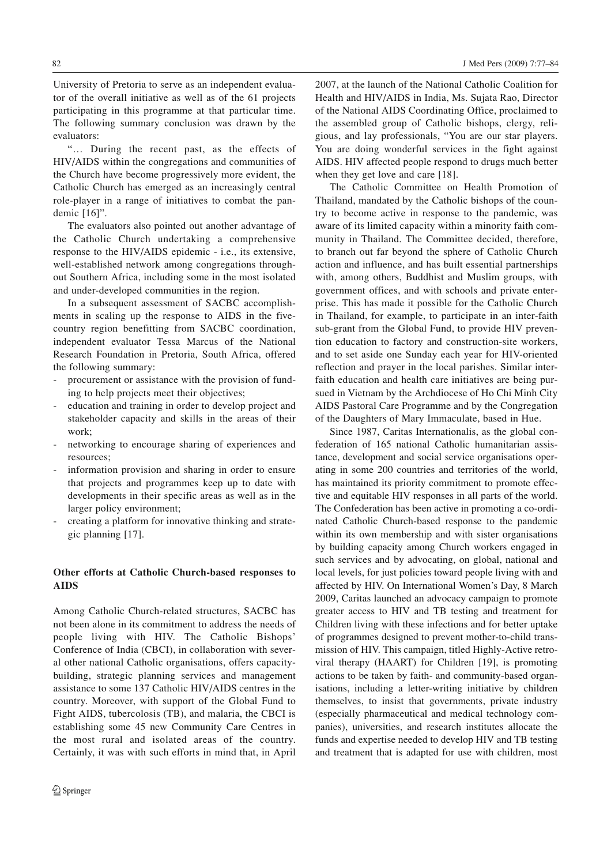University of Pretoria to serve as an independent evaluator of the overall initiative as well as of the 61 projects participating in this programme at that particular time. The following summary conclusion was drawn by the evaluators:

"… During the recent past, as the effects of HIV/AIDS within the congregations and communities of the Church have become progressively more evident, the Catholic Church has emerged as an increasingly central role-player in a range of initiatives to combat the pandemic [16]".

The evaluators also pointed out another advantage of the Catholic Church undertaking a comprehensive response to the HIV/AIDS epidemic - i.e., its extensive, well-established network among congregations throughout Southern Africa, including some in the most isolated and under-developed communities in the region.

In a subsequent assessment of SACBC accomplishments in scaling up the response to AIDS in the fivecountry region benefitting from SACBC coordination, independent evaluator Tessa Marcus of the National Research Foundation in Pretoria, South Africa, offered the following summary:

- procurement or assistance with the provision of funding to help projects meet their objectives;
- education and training in order to develop project and stakeholder capacity and skills in the areas of their work;
- networking to encourage sharing of experiences and resources;
- information provision and sharing in order to ensure that projects and programmes keep up to date with developments in their specific areas as well as in the larger policy environment;
- creating a platform for innovative thinking and strategic planning [17].

#### **Other efforts at Catholic Church-based responses to AIDS**

Among Catholic Church-related structures, SACBC has not been alone in its commitment to address the needs of people living with HIV. The Catholic Bishops' Conference of India (CBCI), in collaboration with several other national Catholic organisations, offers capacitybuilding, strategic planning services and management assistance to some 137 Catholic HIV/AIDS centres in the country. Moreover, with support of the Global Fund to Fight AIDS, tubercolosis (TB), and malaria, the CBCI is establishing some 45 new Community Care Centres in the most rural and isolated areas of the country. Certainly, it was with such efforts in mind that, in April 2007, at the launch of the National Catholic Coalition for Health and HIV/AIDS in India, Ms. Sujata Rao, Director of the National AIDS Coordinating Office, proclaimed to the assembled group of Catholic bishops, clergy, religious, and lay professionals, "You are our star players. You are doing wonderful services in the fight against AIDS. HIV affected people respond to drugs much better when they get love and care [18].

The Catholic Committee on Health Promotion of Thailand, mandated by the Catholic bishops of the country to become active in response to the pandemic, was aware of its limited capacity within a minority faith community in Thailand. The Committee decided, therefore, to branch out far beyond the sphere of Catholic Church action and influence, and has built essential partnerships with, among others, Buddhist and Muslim groups, with government offices, and with schools and private enterprise. This has made it possible for the Catholic Church in Thailand, for example, to participate in an inter-faith sub-grant from the Global Fund, to provide HIV prevention education to factory and construction-site workers, and to set aside one Sunday each year for HIV-oriented reflection and prayer in the local parishes. Similar interfaith education and health care initiatives are being pursued in Vietnam by the Archdiocese of Ho Chi Minh City AIDS Pastoral Care Programme and by the Congregation of the Daughters of Mary Immaculate, based in Hue.

Since 1987, Caritas Internationalis, as the global confederation of 165 national Catholic humanitarian assistance, development and social service organisations operating in some 200 countries and territories of the world, has maintained its priority commitment to promote effective and equitable HIV responses in all parts of the world. The Confederation has been active in promoting a co-ordinated Catholic Church-based response to the pandemic within its own membership and with sister organisations by building capacity among Church workers engaged in such services and by advocating, on global, national and local levels, for just policies toward people living with and affected by HIV. On International Women's Day, 8 March 2009, Caritas launched an advocacy campaign to promote greater access to HIV and TB testing and treatment for Children living with these infections and for better uptake of programmes designed to prevent mother-to-child transmission of HIV. This campaign, titled Highly-Active retroviral therapy (HAART) for Children [19], is promoting actions to be taken by faith- and community-based organisations, including a letter-writing initiative by children themselves, to insist that governments, private industry (especially pharmaceutical and medical technology companies), universities, and research institutes allocate the funds and expertise needed to develop HIV and TB testing and treatment that is adapted for use with children, most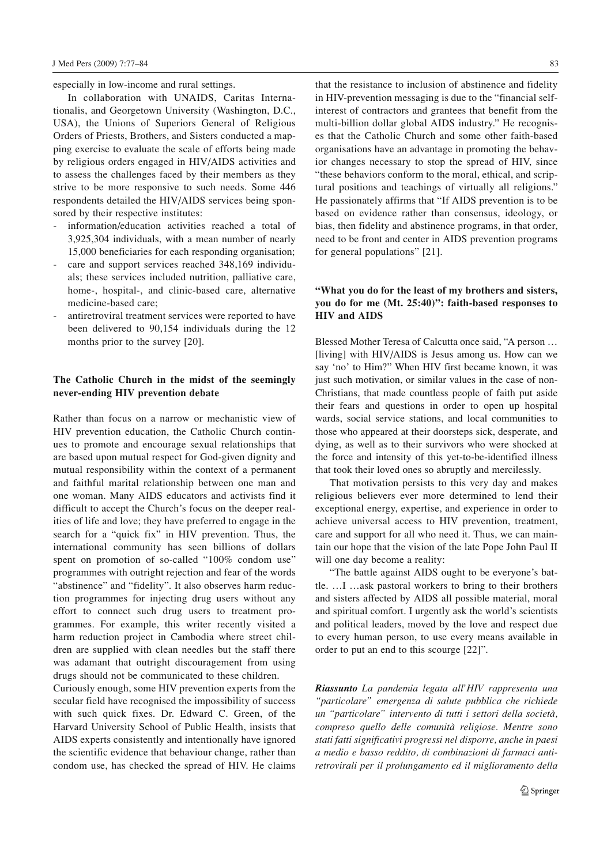especially in low-income and rural settings.

In collaboration with UNAIDS, Caritas Internationalis, and Georgetown University (Washington, D.C., USA), the Unions of Superiors General of Religious Orders of Priests, Brothers, and Sisters conducted a mapping exercise to evaluate the scale of efforts being made by religious orders engaged in HIV/AIDS activities and to assess the challenges faced by their members as they strive to be more responsive to such needs. Some 446 respondents detailed the HIV/AIDS services being sponsored by their respective institutes:

- information/education activities reached a total of 3,925,304 individuals, with a mean number of nearly 15,000 beneficiaries for each responding organisation;
- care and support services reached 348,169 individuals; these services included nutrition, palliative care, home-, hospital-, and clinic-based care, alternative medicine-based care;
- antiretroviral treatment services were reported to have been delivered to 90,154 individuals during the 12 months prior to the survey [20].

#### **The Catholic Church in the midst of the seemingly never-ending HIV prevention debate**

Rather than focus on a narrow or mechanistic view of HIV prevention education, the Catholic Church continues to promote and encourage sexual relationships that are based upon mutual respect for God-given dignity and mutual responsibility within the context of a permanent and faithful marital relationship between one man and one woman. Many AIDS educators and activists find it difficult to accept the Church's focus on the deeper realities of life and love; they have preferred to engage in the search for a "quick fix" in HIV prevention. Thus, the international community has seen billions of dollars spent on promotion of so-called "100% condom use" programmes with outright rejection and fear of the words "abstinence" and "fidelity". It also observes harm reduction programmes for injecting drug users without any effort to connect such drug users to treatment programmes. For example, this writer recently visited a harm reduction project in Cambodia where street children are supplied with clean needles but the staff there was adamant that outright discouragement from using drugs should not be communicated to these children.

Curiously enough, some HIV prevention experts from the secular field have recognised the impossibility of success with such quick fixes. Dr. Edward C. Green, of the Harvard University School of Public Health, insists that AIDS experts consistently and intentionally have ignored the scientific evidence that behaviour change, rather than condom use, has checked the spread of HIV. He claims that the resistance to inclusion of abstinence and fidelity in HIV-prevention messaging is due to the "financial selfinterest of contractors and grantees that benefit from the multi-billion dollar global AIDS industry." He recognises that the Catholic Church and some other faith-based organisations have an advantage in promoting the behavior changes necessary to stop the spread of HIV, since "these behaviors conform to the moral, ethical, and scriptural positions and teachings of virtually all religions." He passionately affirms that "If AIDS prevention is to be based on evidence rather than consensus, ideology, or bias, then fidelity and abstinence programs, in that order, need to be front and center in AIDS prevention programs for general populations" [21].

## **"What you do for the least of my brothers and sisters, you do for me (Mt. 25:40)": faith-based responses to HIV and AIDS**

Blessed Mother Teresa of Calcutta once said, "A person … [living] with HIV/AIDS is Jesus among us. How can we say 'no' to Him?" When HIV first became known, it was just such motivation, or similar values in the case of non-Christians, that made countless people of faith put aside their fears and questions in order to open up hospital wards, social service stations, and local communities to those who appeared at their doorsteps sick, desperate, and dying, as well as to their survivors who were shocked at the force and intensity of this yet-to-be-identified illness that took their loved ones so abruptly and mercilessly.

That motivation persists to this very day and makes religious believers ever more determined to lend their exceptional energy, expertise, and experience in order to achieve universal access to HIV prevention, treatment, care and support for all who need it. Thus, we can maintain our hope that the vision of the late Pope John Paul II will one day become a reality:

"The battle against AIDS ought to be everyone's battle. …I …ask pastoral workers to bring to their brothers and sisters affected by AIDS all possible material, moral and spiritual comfort. I urgently ask the world's scientists and political leaders, moved by the love and respect due to every human person, to use every means available in order to put an end to this scourge [22]".

*Riassunto La pandemia legata all'HIV rappresenta una "particolare" emergenza di salute pubblica che richiede un "particolare" intervento di tutti i settori della società, compreso quello delle comunità religiose. Mentre sono stati fatti significativi progressi nel disporre, anche in paesi a medio e basso reddito, di combinazioni di farmaci antiretrovirali per il prolungamento ed il miglioramento della*